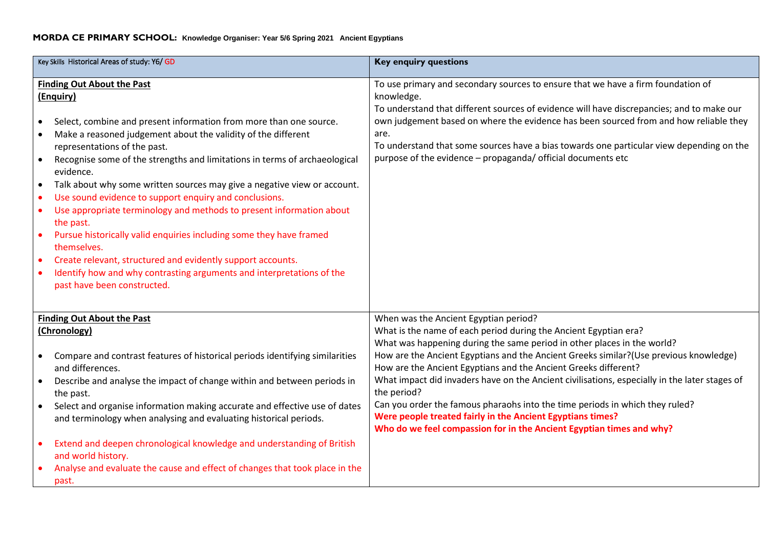## **MORDA CE PRIMARY SCHOOL: Knowledge Organiser: Year 5/6 Spring 2021 Ancient Egyptians**

| Key Skills Historical Areas of study: Y6/ GD                                                                                                                                                                                                                                                                                                                                                                                                                                                                                                                                                                                                                                                                                                                                                                                                                                                        | <b>Key enquiry questions</b>                                                                                                                                                                                                                                                                                                                                                                                                                                                                                                                                                                                                                                                           |
|-----------------------------------------------------------------------------------------------------------------------------------------------------------------------------------------------------------------------------------------------------------------------------------------------------------------------------------------------------------------------------------------------------------------------------------------------------------------------------------------------------------------------------------------------------------------------------------------------------------------------------------------------------------------------------------------------------------------------------------------------------------------------------------------------------------------------------------------------------------------------------------------------------|----------------------------------------------------------------------------------------------------------------------------------------------------------------------------------------------------------------------------------------------------------------------------------------------------------------------------------------------------------------------------------------------------------------------------------------------------------------------------------------------------------------------------------------------------------------------------------------------------------------------------------------------------------------------------------------|
| <b>Finding Out About the Past</b><br>(Enquiry)<br>Select, combine and present information from more than one source.<br>$\bullet$<br>Make a reasoned judgement about the validity of the different<br>$\bullet$<br>representations of the past.<br>Recognise some of the strengths and limitations in terms of archaeological<br>evidence.<br>Talk about why some written sources may give a negative view or account.<br>$\bullet$<br>Use sound evidence to support enquiry and conclusions.<br>$\bullet$<br>Use appropriate terminology and methods to present information about<br>$\bullet$<br>the past.<br>Pursue historically valid enquiries including some they have framed<br>themselves.<br>Create relevant, structured and evidently support accounts.<br>$\bullet$<br>Identify how and why contrasting arguments and interpretations of the<br>$\bullet$<br>past have been constructed. | To use primary and secondary sources to ensure that we have a firm foundation of<br>knowledge.<br>To understand that different sources of evidence will have discrepancies; and to make our<br>own judgement based on where the evidence has been sourced from and how reliable they<br>are.<br>To understand that some sources have a bias towards one particular view depending on the<br>purpose of the evidence - propaganda/ official documents etc                                                                                                                                                                                                                               |
| <b>Finding Out About the Past</b><br>(Chronology)<br>Compare and contrast features of historical periods identifying similarities<br>and differences.<br>Describe and analyse the impact of change within and between periods in<br>the past.<br>Select and organise information making accurate and effective use of dates<br>and terminology when analysing and evaluating historical periods.<br>Extend and deepen chronological knowledge and understanding of British<br>$\bullet$<br>and world history.<br>Analyse and evaluate the cause and effect of changes that took place in the<br>past.                                                                                                                                                                                                                                                                                               | When was the Ancient Egyptian period?<br>What is the name of each period during the Ancient Egyptian era?<br>What was happening during the same period in other places in the world?<br>How are the Ancient Egyptians and the Ancient Greeks similar?(Use previous knowledge)<br>How are the Ancient Egyptians and the Ancient Greeks different?<br>What impact did invaders have on the Ancient civilisations, especially in the later stages of<br>the period?<br>Can you order the famous pharaohs into the time periods in which they ruled?<br>Were people treated fairly in the Ancient Egyptians times?<br>Who do we feel compassion for in the Ancient Egyptian times and why? |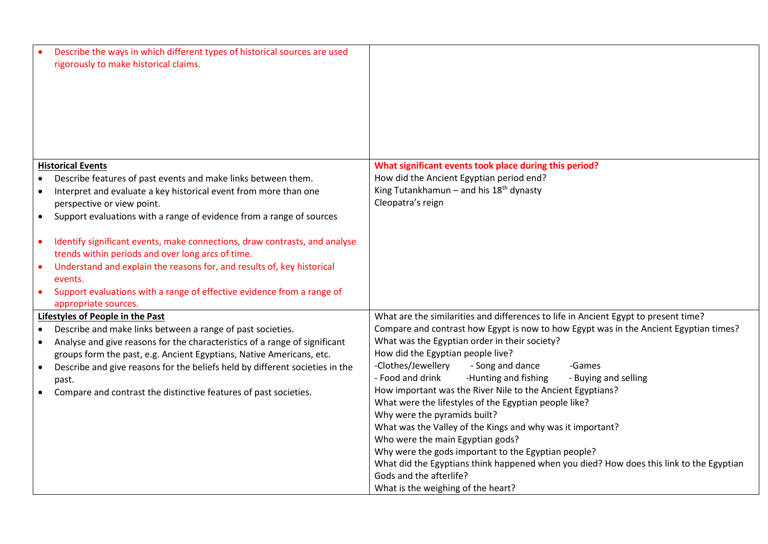| Describe the ways in which different types of historical sources are used<br>rigorously to make historical claims.                                                                                                                                                                                                                                            |                                                                                                                                |
|---------------------------------------------------------------------------------------------------------------------------------------------------------------------------------------------------------------------------------------------------------------------------------------------------------------------------------------------------------------|--------------------------------------------------------------------------------------------------------------------------------|
| <b>Historical Events</b>                                                                                                                                                                                                                                                                                                                                      | What significant events took place during this period?                                                                         |
| Describe features of past events and make links between them.                                                                                                                                                                                                                                                                                                 | How did the Ancient Egyptian period end?                                                                                       |
| Interpret and evaluate a key historical event from more than one<br>$\bullet$                                                                                                                                                                                                                                                                                 | King Tutankhamun - and his $18th$ dynasty                                                                                      |
| perspective or view point.                                                                                                                                                                                                                                                                                                                                    | Cleopatra's reign                                                                                                              |
| Support evaluations with a range of evidence from a range of sources<br>$\bullet$                                                                                                                                                                                                                                                                             |                                                                                                                                |
| Identify significant events, make connections, draw contrasts, and analyse<br>$\bullet$<br>trends within periods and over long arcs of time.<br>Understand and explain the reasons for, and results of, key historical<br>$\bullet$<br>events.<br>Support evaluations with a range of effective evidence from a range of<br>$\bullet$<br>appropriate sources. |                                                                                                                                |
| Lifestyles of People in the Past                                                                                                                                                                                                                                                                                                                              | What are the similarities and differences to life in Ancient Egypt to present time?                                            |
| Describe and make links between a range of past societies.                                                                                                                                                                                                                                                                                                    | Compare and contrast how Egypt is now to how Egypt was in the Ancient Egyptian times?                                          |
| Analyse and give reasons for the characteristics of a range of significant<br>$\bullet$                                                                                                                                                                                                                                                                       | What was the Egyptian order in their society?                                                                                  |
| groups form the past, e.g. Ancient Egyptians, Native Americans, etc.                                                                                                                                                                                                                                                                                          | How did the Egyptian people live?                                                                                              |
| Describe and give reasons for the beliefs held by different societies in the<br>$\bullet$                                                                                                                                                                                                                                                                     | -Clothes/Jewellery<br>- Song and dance<br>-Games                                                                               |
| past.                                                                                                                                                                                                                                                                                                                                                         | - Food and drink<br>-Hunting and fishing<br>- Buying and selling<br>How important was the River Nile to the Ancient Egyptians? |
| Compare and contrast the distinctive features of past societies.                                                                                                                                                                                                                                                                                              | What were the lifestyles of the Egyptian people like?                                                                          |
|                                                                                                                                                                                                                                                                                                                                                               | Why were the pyramids built?                                                                                                   |
|                                                                                                                                                                                                                                                                                                                                                               | What was the Valley of the Kings and why was it important?                                                                     |
|                                                                                                                                                                                                                                                                                                                                                               | Who were the main Egyptian gods?                                                                                               |
|                                                                                                                                                                                                                                                                                                                                                               | Why were the gods important to the Egyptian people?                                                                            |
|                                                                                                                                                                                                                                                                                                                                                               | What did the Egyptians think happened when you died? How does this link to the Egyptian                                        |
|                                                                                                                                                                                                                                                                                                                                                               | Gods and the afterlife?                                                                                                        |
|                                                                                                                                                                                                                                                                                                                                                               | What is the weighing of the heart?                                                                                             |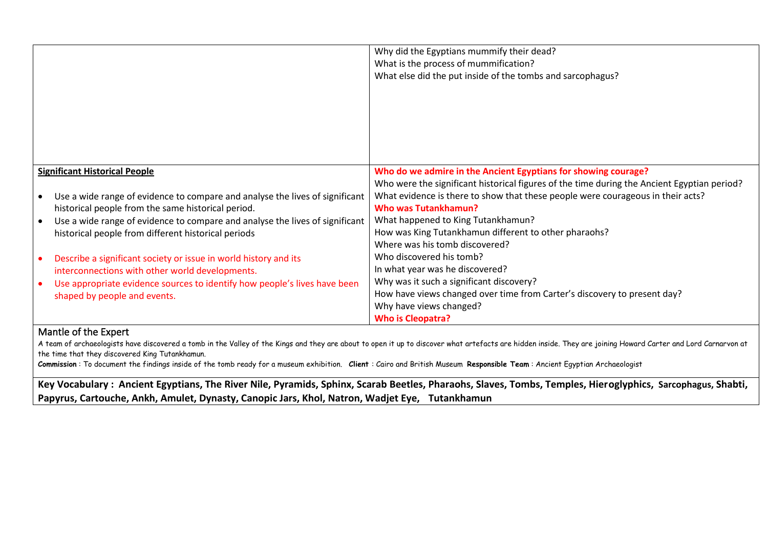|                                                                              | Why did the Egyptians mummify their dead?                                                   |
|------------------------------------------------------------------------------|---------------------------------------------------------------------------------------------|
|                                                                              | What is the process of mummification?                                                       |
|                                                                              | What else did the put inside of the tombs and sarcophagus?                                  |
|                                                                              |                                                                                             |
|                                                                              |                                                                                             |
|                                                                              |                                                                                             |
|                                                                              |                                                                                             |
|                                                                              |                                                                                             |
|                                                                              |                                                                                             |
|                                                                              |                                                                                             |
|                                                                              |                                                                                             |
| <b>Significant Historical People</b>                                         | Who do we admire in the Ancient Egyptians for showing courage?                              |
|                                                                              | Who were the significant historical figures of the time during the Ancient Egyptian period? |
| Use a wide range of evidence to compare and analyse the lives of significant | What evidence is there to show that these people were courageous in their acts?             |
| historical people from the same historical period.                           | <b>Who was Tutankhamun?</b>                                                                 |
| Use a wide range of evidence to compare and analyse the lives of significant | What happened to King Tutankhamun?                                                          |
|                                                                              | How was King Tutankhamun different to other pharaohs?                                       |
| historical people from different historical periods                          |                                                                                             |
|                                                                              | Where was his tomb discovered?                                                              |
| Describe a significant society or issue in world history and its             | Who discovered his tomb?                                                                    |
| interconnections with other world developments.                              | In what year was he discovered?                                                             |
| Use appropriate evidence sources to identify how people's lives have been    | Why was it such a significant discovery?                                                    |
| shaped by people and events.                                                 | How have views changed over time from Carter's discovery to present day?                    |
|                                                                              | Why have views changed?                                                                     |
|                                                                              | <b>Who is Cleopatra?</b>                                                                    |
| <b>A Algorithm of Algorithm Construction</b>                                 |                                                                                             |

## Mantle of the Expert

A team of archaeologists have discovered a tomb in the Valley of the Kings and they are about to open it up to discover what artefacts are hidden inside. They are joining Howard Carter and Lord Carnarvon at the time that they discovered King Tutankhamun.

**Commission** : To document the findings inside of the tomb ready for a museum exhibition. **Client** : Cairo and British Museum **Responsible Team** : Ancient Egyptian Archaeologist

**Key Vocabulary : Ancient Egyptians, The River Nile, Pyramids, Sphinx, Scarab Beetles, Pharaohs, Slaves, Tombs, Temples, Hieroglyphics, Sarcophagus, Shabti, Papyrus, Cartouche, Ankh, Amulet, Dynasty, Canopic Jars, Khol, Natron, Wadjet Eye, Tutankhamun**